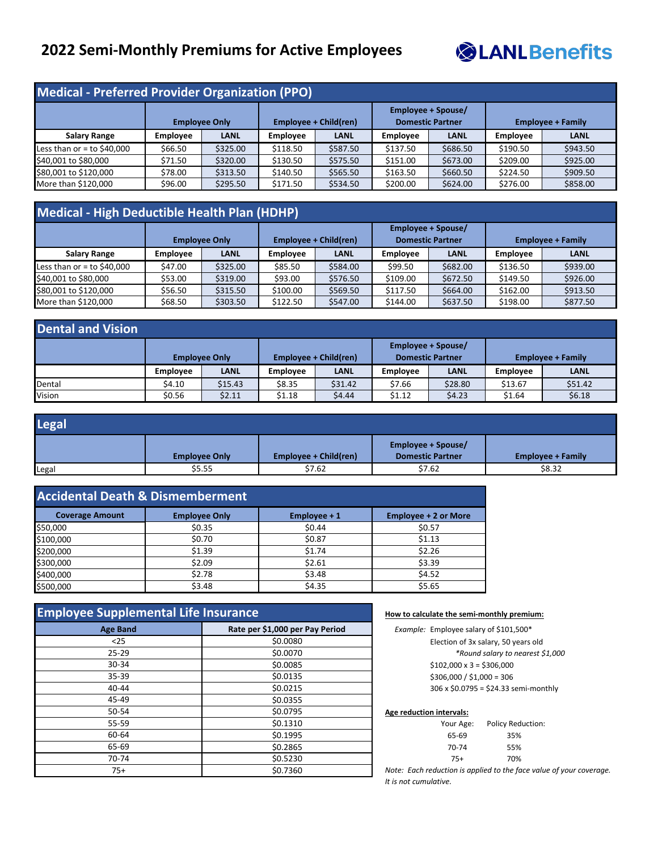# **2022 Semi-Monthly Premiums for Active Employees**



### **Medical - Preferred Provider Organization (PPO)**

| <b>THEMICAL LIGICITUM LIGHMEL SINGHLIGHMENT (LIGI</b> |                 |                      |                 |                              |                                               |             |                 |                          |
|-------------------------------------------------------|-----------------|----------------------|-----------------|------------------------------|-----------------------------------------------|-------------|-----------------|--------------------------|
|                                                       |                 | <b>Employee Only</b> |                 | <b>Employee + Child(ren)</b> | Employee + Spouse/<br><b>Domestic Partner</b> |             |                 | <b>Employee + Family</b> |
| <b>Salary Range</b>                                   | <b>Employee</b> | <b>LANL</b>          | <b>Employee</b> | <b>LANL</b>                  | Employee                                      | <b>LANL</b> | <b>Employee</b> | <b>LANL</b>              |
| Less than or = to \$40,000                            | \$66.50         | \$325.00             | \$118.50        | \$587.50                     | \$137.50                                      | \$686.50    | \$190.50        | \$943.50                 |
| \$40,001 to \$80,000                                  | \$71.50         | \$320.00             | \$130.50        | \$575.50                     | \$151.00                                      | \$673.00    | \$209.00        | \$925.00                 |
| \$80,001 to \$120,000                                 | \$78.00         | \$313.50             | \$140.50        | \$565.50                     | \$163.50                                      | \$660.50    | \$224.50        | \$909.50                 |
| More than \$120,000                                   | \$96.00         | \$295.50             | \$171.50        | \$534.50                     | \$200.00                                      | \$624.00    | \$276.00        | \$858.00                 |

# **Medical - High Deductible Health Plan (HDHP)**

|                              | Employee + Child(ren)<br><b>Employee Only</b> |             | <b>Employee + Spouse/</b><br><b>Domestic Partner</b> |             | <b>Employee + Family</b> |             |                 |             |
|------------------------------|-----------------------------------------------|-------------|------------------------------------------------------|-------------|--------------------------|-------------|-----------------|-------------|
| <b>Salary Range</b>          | Employee                                      | <b>LANL</b> | <b>Employee</b>                                      | <b>LANL</b> | <b>Employee</b>          | <b>LANL</b> | <b>Employee</b> | <b>LANL</b> |
| Less than or $=$ to \$40,000 | \$47.00                                       | \$325.00    | \$85.50                                              | \$584.00    | \$99.50                  | \$682.00    | \$136.50        | \$939.00    |
| $$40,001$ to \$80,000        | \$53.00                                       | \$319.00    | \$93.00                                              | \$576.50    | \$109.00                 | \$672.50    | \$149.50        | \$926.00    |
| \$80,001 to \$120,000        | \$56.50                                       | \$315.50    | \$100.00                                             | \$569.50    | \$117.50                 | \$664.00    | \$162.00        | \$913.50    |
| More than $$120,000$         | \$68.50                                       | \$303.50    | \$122.50                                             | \$547.00    | \$144.00                 | \$637.50    | \$198.00        | \$877.50    |

| <b>Dental and Vision</b> |                 |                      |                 |                       |                                               |             |                 |                          |
|--------------------------|-----------------|----------------------|-----------------|-----------------------|-----------------------------------------------|-------------|-----------------|--------------------------|
|                          |                 | <b>Employee Only</b> |                 | Employee + Child(ren) | Employee + Spouse/<br><b>Domestic Partner</b> |             |                 | <b>Employee + Family</b> |
|                          | <b>Employee</b> | <b>LANL</b>          | <b>Employee</b> | <b>LANL</b>           | <b>Employee</b>                               | <b>LANL</b> | <b>Employee</b> | <b>LANL</b>              |
| Dental                   | \$4.10          | \$15.43              | \$8.35          | \$31.42               | \$7.66                                        | \$28.80     | \$13.67         | \$51.42                  |
| Vision                   | \$0.56          | \$2.11               | \$1.18          | \$4.44                | \$1.12                                        | \$4.23      | \$1.64          | \$6.18                   |

| Legal |                      |                       |                                               |                          |
|-------|----------------------|-----------------------|-----------------------------------------------|--------------------------|
|       | <b>Employee Only</b> | Employee + Child(ren) | Employee + Spouse/<br><b>Domestic Partner</b> | <b>Employee + Family</b> |
| Legal | \$5.55               | \$7.62                | \$7.62                                        | \$8.32                   |

| <b>Accidental Death &amp; Dismemberment</b> |                      |              |                             |  |  |
|---------------------------------------------|----------------------|--------------|-----------------------------|--|--|
| <b>Coverage Amount</b>                      | <b>Employee Only</b> | Employee + 1 | <b>Employee + 2 or More</b> |  |  |
| \$50,000                                    | \$0.35               | \$0.44       | \$0.57                      |  |  |
| \$100,000                                   | \$0.70               | \$0.87       | \$1.13                      |  |  |
| \$200,000                                   | \$1.39               | \$1.74       | \$2.26                      |  |  |
| \$300,000                                   | \$2.09               | \$2.61       | \$3.39                      |  |  |
| \$400,000                                   | \$2.78               | \$3.48       | \$4.52                      |  |  |
| \$500,000                                   | \$3.48               | \$4.35       | \$5.65                      |  |  |

| <b>Employee Supplemental Life Insurance</b> |                                 |  |  |  |
|---------------------------------------------|---------------------------------|--|--|--|
| <b>Age Band</b>                             | Rate per \$1,000 per Pay Period |  |  |  |
| $25$                                        | \$0.0080                        |  |  |  |
| $25 - 29$                                   | \$0.0070                        |  |  |  |
| 30-34                                       | \$0.0085                        |  |  |  |
| 35-39                                       | \$0.0135                        |  |  |  |
| 40-44                                       | \$0.0215                        |  |  |  |
| 45-49                                       | \$0.0355                        |  |  |  |
| 50-54                                       | \$0.0795                        |  |  |  |
| 55-59                                       | \$0.1310                        |  |  |  |
| 60-64                                       | \$0.1995                        |  |  |  |
| 65-69                                       | \$0.2865                        |  |  |  |
| 70-74                                       | \$0.5230                        |  |  |  |
| $75+$                                       | \$0.7360                        |  |  |  |

#### **How to calculate the semi-monthly premium:**

| Example: Employee salary of \$101,500* |  |  |
|----------------------------------------|--|--|
| Election of 3x salary, 50 years old    |  |  |
| *Round salary to nearest \$1,000       |  |  |
| $$102,000 \times 3 = $306,000$         |  |  |
| $$306,000 / $1,000 = 306$              |  |  |
| 306 x \$0.0795 = \$24.33 semi-monthly  |  |  |

### **Age reduction intervals:**

| Your Age: | <b>Policy Reduction:</b> |
|-----------|--------------------------|
| 65-69     | 35%                      |
| 70-74     | 55%                      |
| 75+       | 70%                      |

*Note: Each reduction is applied to the face value of your coverage. It is not cumulative.*